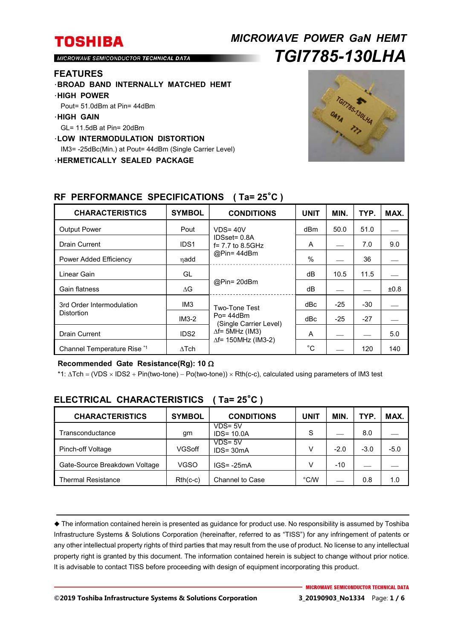# *MICROWAVE POWER GaN HEMT TGI7785-130LHA*

MICROWAVE SEMICONDUCTOR TECHNICAL DATA

#### **FEATURES**

- ・**BROAD BAND INTERNALLY MATCHED HEMT**
- ・**HIGH POWER**
- Pout= 51.0dBm at Pin= 44dBm
- ・**HIGH GAIN**
- GL= 11.5dB at Pin= 20dBm
- ・**LOW INTERMODULATION DISTORTION**

IM3= -25dBc(Min.) at Pout= 44dBm (Single Carrier Level)

・**HERMETICALLY SEALED PACKAGE** 



| <b>CHARACTERISTICS</b>                         | <b>SYMBOL</b>    | <b>CONDITIONS</b>                                                                                                 | <b>UNIT</b> | MIN.  | TYP.  | MAX. |
|------------------------------------------------|------------------|-------------------------------------------------------------------------------------------------------------------|-------------|-------|-------|------|
| <b>Output Power</b>                            | Pout             | $VDS = 40V$<br>IDSset= 0.8A<br>$f = 7.7$ to 8.5GHz<br>@Pin=44dBm                                                  | dBm         | 50.0  | 51.0  |      |
| <b>Drain Current</b>                           | IDS <sub>1</sub> |                                                                                                                   | A           |       | 7.0   | 9.0  |
| Power Added Efficiency                         | ηadd             |                                                                                                                   | $\%$        |       | 36    |      |
| Linear Gain                                    | GL               | @Pin= 20dBm                                                                                                       | dB          | 10.5  | 11.5  |      |
| Gain flatness                                  | $\Delta G$       |                                                                                                                   | dB          |       |       | ±0.8 |
| 3rd Order Intermodulation<br><b>Distortion</b> | IM <sub>3</sub>  | Two-Tone Test<br>$Po = 44dBm$<br>(Single Carrier Level)<br>$\Delta f$ = 5MHz (IM3)<br>$\Delta f$ = 150MHz (IM3-2) | dBc         | $-25$ | $-30$ |      |
|                                                | $IM3-2$          |                                                                                                                   | dBc         | $-25$ | $-27$ |      |
| <b>Drain Current</b>                           | IDS <sub>2</sub> |                                                                                                                   | A           |       |       | 5.0  |
| Channel Temperature Rise *1                    | $\Delta$ Tch     |                                                                                                                   | $^{\circ}C$ |       | 120   | 140  |

#### **RF PERFORMANCE SPECIFICATIONS ( Ta= 25**°**C )**

#### **Recommended Gate Resistance(Rg): 10**

\*1: ∆Tch = (VDS × IDS2 + Pin(two-tone) – Po(two-tone)) × Rth(c-c), calculated using parameters of IM3 test

| <b>CHARACTERISTICS</b>        | <b>SYMBOL</b> | <b>CONDITIONS</b>           | UNIT | <b>MIN</b> | TYP.   | MAX.   |
|-------------------------------|---------------|-----------------------------|------|------------|--------|--------|
| Transconductance              | gm            | $VDS = 5V$<br>$IDS = 10.0A$ | S    |            | 8.0    |        |
| Pinch-off Voltage             | VGSoff        | $VDS = 5V$<br>$IDS = 30mA$  | v    | $-2.0$     | $-3.0$ | $-5.0$ |
| Gate-Source Breakdown Voltage | <b>VGSO</b>   | $IGS = -25mA$               | v    | $-10$      |        |        |
| Thermal Resistance            | $Rth(c-c)$    | Channel to Case             | °C/W |            | 0.8    | 1.0    |

### **ELECTRICAL CHARACTERISTICS ( Ta= 25**°**C )**

 The information contained herein is presented as guidance for product use. No responsibility is assumed by Toshiba Infrastructure Systems & Solutions Corporation (hereinafter, referred to as "TISS") for any infringement of patents or any other intellectual property rights of third parties that may result from the use of product. No license to any intellectual property right is granted by this document. The information contained herein is subject to change without prior notice. It is advisable to contact TISS before proceeding with design of equipment incorporating this product.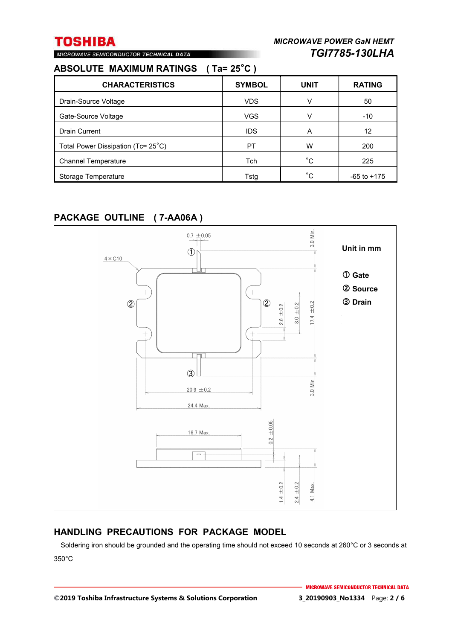### **ABSOLUTE MAXIMUM RATINGS ( Ta= 25**°**C )**

MICROWAVE SEMICONDUCTOR TECHNICAL DATA

| <b>CHARACTERISTICS</b>             | <b>SYMBOL</b> | <b>UNIT</b> | <b>RATING</b>   |
|------------------------------------|---------------|-------------|-----------------|
| Drain-Source Voltage               | <b>VDS</b>    | v           | 50              |
| Gate-Source Voltage                | <b>VGS</b>    | V           | $-10$           |
| <b>Drain Current</b>               | <b>IDS</b>    | A           | 12              |
| Total Power Dissipation (Tc= 25°C) | PT            | w           | 200             |
| <b>Channel Temperature</b>         | Tch           | °С          | 225             |
| Storage Temperature                | Tstg          | °C.         | $-65$ to $+175$ |

### **PACKAGE OUTLINE ( 7-AA06A )**



### **HANDLING PRECAUTIONS FOR PACKAGE MODEL**

Soldering iron should be grounded and the operating time should not exceed 10 seconds at 260°C or 3 seconds at 350°C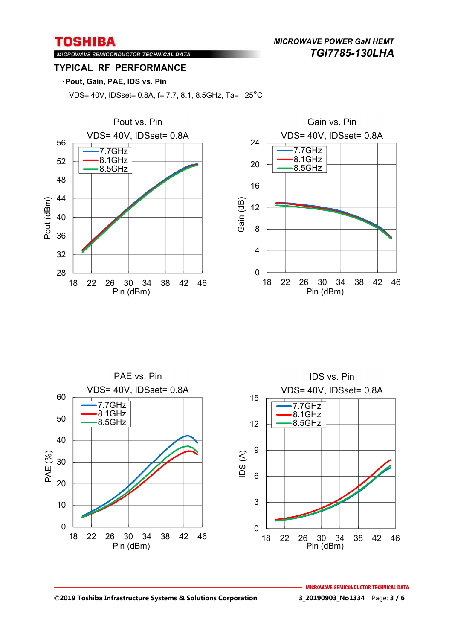*MICROWAVE POWER GaN HEMT TGI7785-130LHA* 

### MICROWAVE SEMICONDUCTOR TECHNICAL DATA **TYPICAL RF PERFORMANCE**

#### ・**Pout, Gain, PAE, IDS vs. Pin**

VDS= 40V, IDSset= 0.8A, f= 7.7, 8.1, 8.5GHz, Ta=  $+25^{\circ}$ C



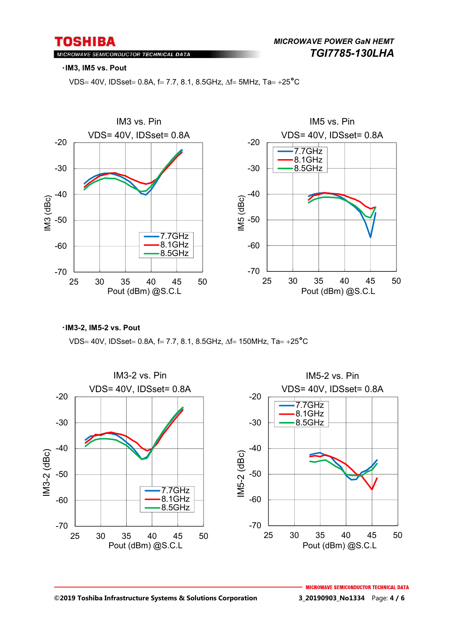MICROWAVE SEMICONDUCTOR TECHNICAL DATA

#### ・**IM3, IM5 vs. Pout**

VDS= 40V, IDSset = 0.8A, f = 7.7, 8.1, 8.5GHz,  $\Delta f$  = 5MHz, Ta = +25<sup>°</sup>C



・**IM3-2, IM5-2 vs. Pout**

VDS= 40V, IDSset = 0.8A, f = 7.7, 8.1, 8.5GHz,  $\Delta f$  = 150MHz, Ta = +25<sup>°</sup>C

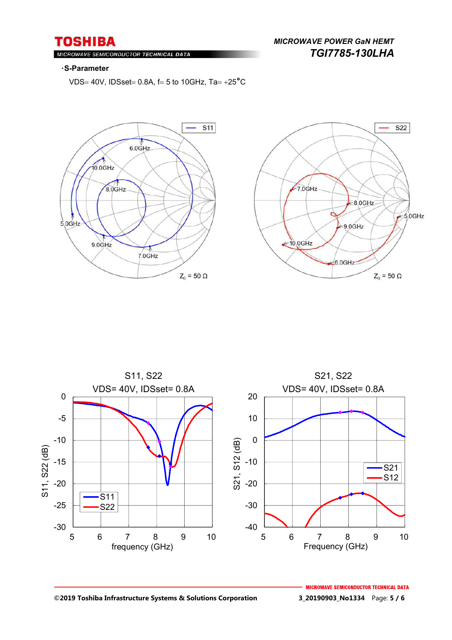MICROWAVE SEMICONDUCTOR TECHNICAL DATA

### *MICROWAVE POWER GaN HEMT TGI7785-130LHA*

#### ・**S-Parameter**

VDS= 40V, IDSset = 0.8A,  $f = 5$  to 10GHz, Ta = +25<sup>°</sup>C